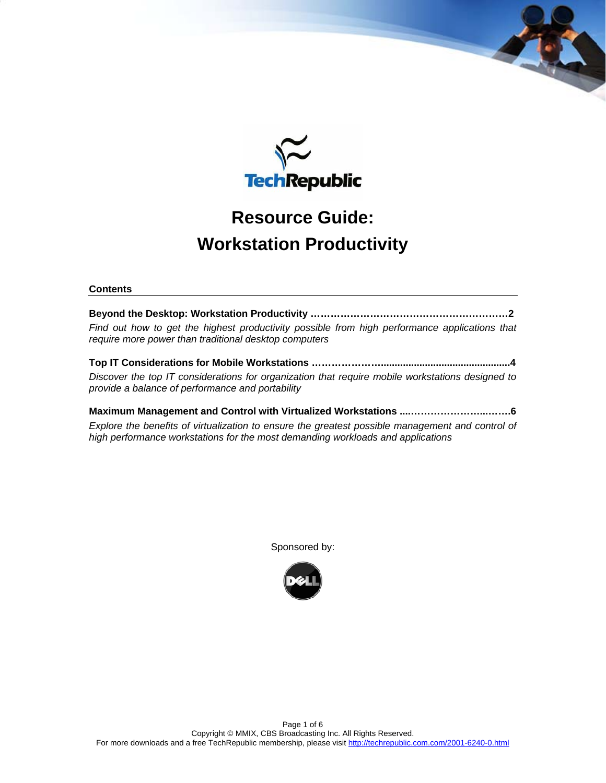

# **Resource Guide: Workstation Productivity**

## **Contents**

**Beyond the Desktop: Workstation Productivity ……………………………………………………2**  *Find out how to get the highest productivity possible from high performance applications that require more power than traditional desktop computers* 

**Top IT Considerations for Mobile Workstations …………………...............................................4**  *Discover the top IT considerations for organization that require mobile workstations designed to provide a balance of performance and portability* 

**Maximum Management and Control with Virtualized Workstations ....…………………...…….6**  *Explore the benefits of virtualization to ensure the greatest possible management and control of high performance workstations for the most demanding workloads and applications* 

Sponsored by:

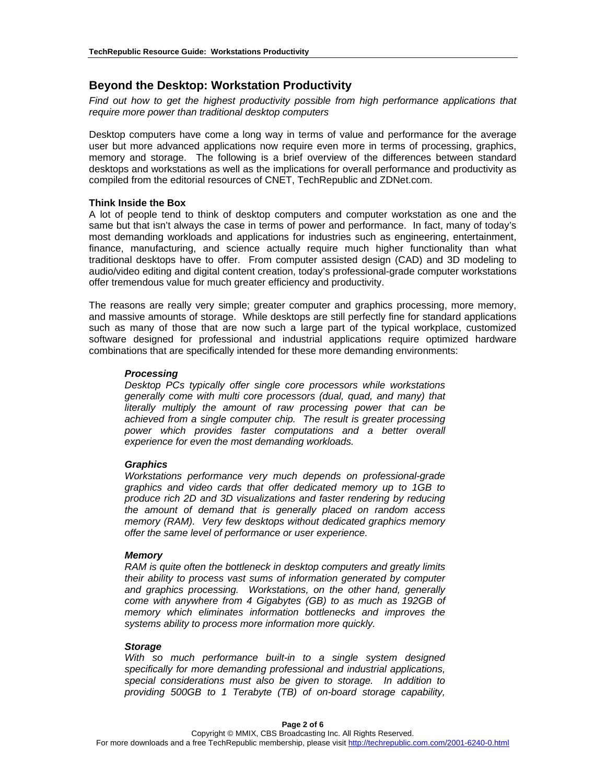## **Beyond the Desktop: Workstation Productivity**

*Find out how to get the highest productivity possible from high performance applications that require more power than traditional desktop computers* 

Desktop computers have come a long way in terms of value and performance for the average user but more advanced applications now require even more in terms of processing, graphics, memory and storage. The following is a brief overview of the differences between standard desktops and workstations as well as the implications for overall performance and productivity as compiled from the editorial resources of CNET, TechRepublic and ZDNet.com.

#### **Think Inside the Box**

A lot of people tend to think of desktop computers and computer workstation as one and the same but that isn't always the case in terms of power and performance. In fact, many of today's most demanding workloads and applications for industries such as engineering, entertainment, finance, manufacturing, and science actually require much higher functionality than what traditional desktops have to offer. From computer assisted design (CAD) and 3D modeling to audio/video editing and digital content creation, today's professional-grade computer workstations offer tremendous value for much greater efficiency and productivity.

The reasons are really very simple; greater computer and graphics processing, more memory, and massive amounts of storage. While desktops are still perfectly fine for standard applications such as many of those that are now such a large part of the typical workplace, customized software designed for professional and industrial applications require optimized hardware combinations that are specifically intended for these more demanding environments:

#### *Processing*

*Desktop PCs typically offer single core processors while workstations generally come with multi core processors (dual, quad, and many) that literally multiply the amount of raw processing power that can be achieved from a single computer chip. The result is greater processing power which provides faster computations and a better overall experience for even the most demanding workloads.* 

## *Graphics*

*Workstations performance very much depends on professional-grade graphics and video cards that offer dedicated memory up to 1GB to produce rich 2D and 3D visualizations and faster rendering by reducing the amount of demand that is generally placed on random access memory (RAM). Very few desktops without dedicated graphics memory offer the same level of performance or user experience.* 

#### *Memory*

*RAM is quite often the bottleneck in desktop computers and greatly limits their ability to process vast sums of information generated by computer and graphics processing. Workstations, on the other hand, generally come with anywhere from 4 Gigabytes (GB) to as much as 192GB of memory which eliminates information bottlenecks and improves the systems ability to process more information more quickly.* 

#### *Storage*

*With so much performance built-in to a single system designed specifically for more demanding professional and industrial applications, special considerations must also be given to storage. In addition to providing 500GB to 1 Terabyte (TB) of on-board storage capability,*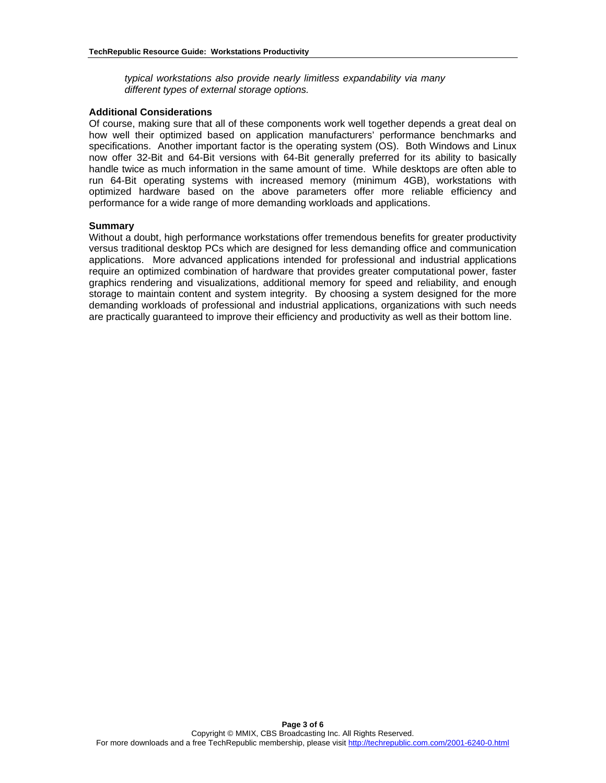*typical workstations also provide nearly limitless expandability via many different types of external storage options.* 

#### **Additional Considerations**

Of course, making sure that all of these components work well together depends a great deal on how well their optimized based on application manufacturers' performance benchmarks and specifications. Another important factor is the operating system (OS). Both Windows and Linux now offer 32-Bit and 64-Bit versions with 64-Bit generally preferred for its ability to basically handle twice as much information in the same amount of time. While desktops are often able to run 64-Bit operating systems with increased memory (minimum 4GB), workstations with optimized hardware based on the above parameters offer more reliable efficiency and performance for a wide range of more demanding workloads and applications.

#### **Summary**

Without a doubt, high performance workstations offer tremendous benefits for greater productivity versus traditional desktop PCs which are designed for less demanding office and communication applications. More advanced applications intended for professional and industrial applications require an optimized combination of hardware that provides greater computational power, faster graphics rendering and visualizations, additional memory for speed and reliability, and enough storage to maintain content and system integrity. By choosing a system designed for the more demanding workloads of professional and industrial applications, organizations with such needs are practically guaranteed to improve their efficiency and productivity as well as their bottom line.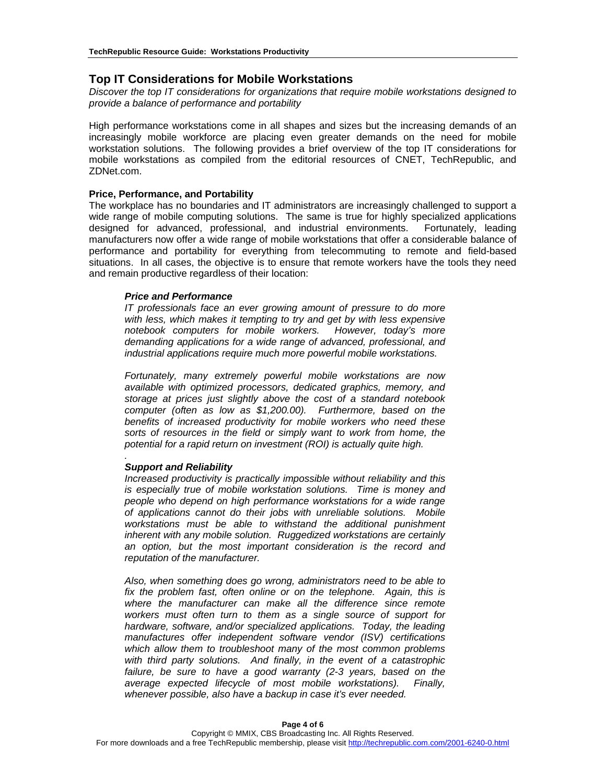## **Top IT Considerations for Mobile Workstations**

*Discover the top IT considerations for organizations that require mobile workstations designed to provide a balance of performance and portability* 

High performance workstations come in all shapes and sizes but the increasing demands of an increasingly mobile workforce are placing even greater demands on the need for mobile workstation solutions. The following provides a brief overview of the top IT considerations for mobile workstations as compiled from the editorial resources of CNET, TechRepublic, and ZDNet.com.

#### **Price, Performance, and Portability**

The workplace has no boundaries and IT administrators are increasingly challenged to support a wide range of mobile computing solutions. The same is true for highly specialized applications designed for advanced, professional, and industrial environments. Fortunately, leading manufacturers now offer a wide range of mobile workstations that offer a considerable balance of performance and portability for everything from telecommuting to remote and field-based situations. In all cases, the objective is to ensure that remote workers have the tools they need and remain productive regardless of their location:

#### *Price and Performance*

*IT professionals face an ever growing amount of pressure to do more with less, which makes it tempting to try and get by with less expensive notebook computers for mobile workers. However, today's more demanding applications for a wide range of advanced, professional, and industrial applications require much more powerful mobile workstations.* 

*Fortunately, many extremely powerful mobile workstations are now available with optimized processors, dedicated graphics, memory, and storage at prices just slightly above the cost of a standard notebook computer (often as low as \$1,200.00). Furthermore, based on the benefits of increased productivity for mobile workers who need these sorts of resources in the field or simply want to work from home, the potential for a rapid return on investment (ROI) is actually quite high.* 

#### *Support and Reliability*

*.* 

*Increased productivity is practically impossible without reliability and this is especially true of mobile workstation solutions. Time is money and people who depend on high performance workstations for a wide range of applications cannot do their jobs with unreliable solutions. Mobile workstations must be able to withstand the additional punishment inherent with any mobile solution. Ruggedized workstations are certainly an option, but the most important consideration is the record and reputation of the manufacturer.* 

*Also, when something does go wrong, administrators need to be able to fix the problem fast, often online or on the telephone. Again, this is where the manufacturer can make all the difference since remote workers must often turn to them as a single source of support for hardware, software, and/or specialized applications. Today, the leading manufactures offer independent software vendor (ISV) certifications which allow them to troubleshoot many of the most common problems with third party solutions. And finally, in the event of a catastrophic failure, be sure to have a good warranty (2-3 years, based on the average expected lifecycle of most mobile workstations). Finally, whenever possible, also have a backup in case it's ever needed.*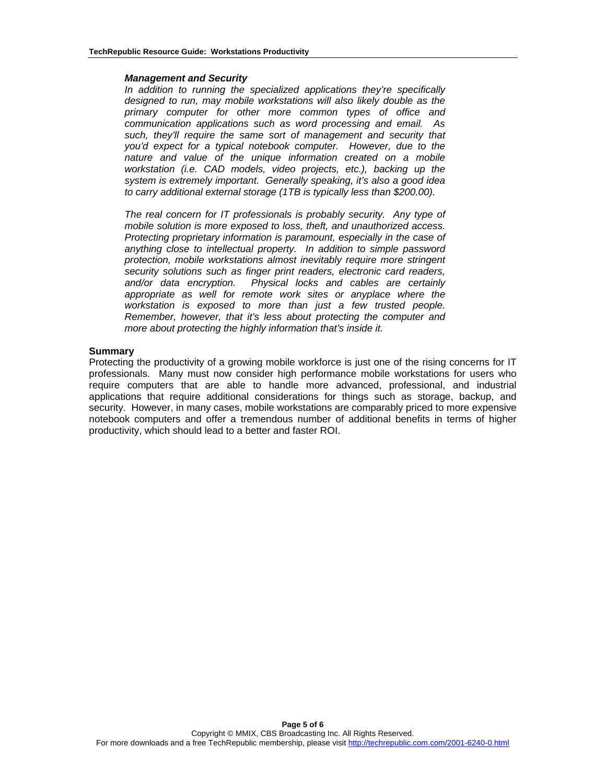#### *Management and Security*

*In addition to running the specialized applications they're specifically designed to run, may mobile workstations will also likely double as the primary computer for other more common types of office and communication applications such as word processing and email. As such, they'll require the same sort of management and security that you'd expect for a typical notebook computer. However, due to the nature and value of the unique information created on a mobile workstation (i.e. CAD models, video projects, etc.), backing up the system is extremely important. Generally speaking, it's also a good idea to carry additional external storage (1TB is typically less than \$200.00).* 

*The real concern for IT professionals is probably security. Any type of mobile solution is more exposed to loss, theft, and unauthorized access. Protecting proprietary information is paramount, especially in the case of anything close to intellectual property. In addition to simple password protection, mobile workstations almost inevitably require more stringent security solutions such as finger print readers, electronic card readers, and/or data encryption. Physical locks and cables are certainly appropriate as well for remote work sites or anyplace where the workstation is exposed to more than just a few trusted people. Remember, however, that it's less about protecting the computer and more about protecting the highly information that's inside it.* 

#### **Summary**

Protecting the productivity of a growing mobile workforce is just one of the rising concerns for IT professionals. Many must now consider high performance mobile workstations for users who require computers that are able to handle more advanced, professional, and industrial applications that require additional considerations for things such as storage, backup, and security. However, in many cases, mobile workstations are comparably priced to more expensive notebook computers and offer a tremendous number of additional benefits in terms of higher productivity, which should lead to a better and faster ROI.